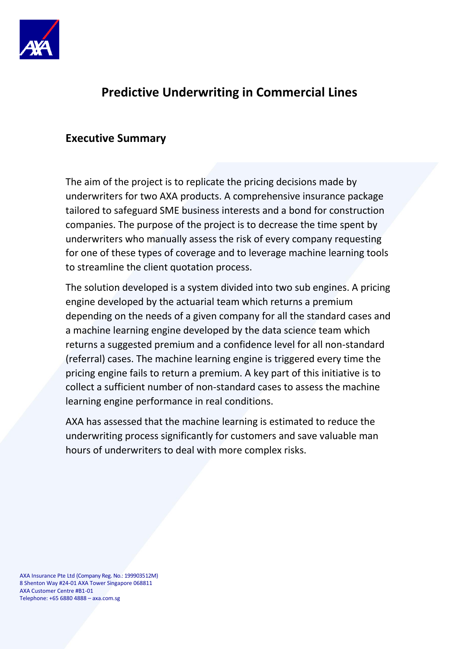

## **Predictive Underwriting in Commercial Lines**

#### **Executive Summary**

The aim of the project is to replicate the pricing decisions made by underwriters for two AXA products. A comprehensive insurance package tailored to safeguard SME business interests and a bond for construction companies. The purpose of the project is to decrease the time spent by underwriters who manually assess the risk of every company requesting for one of these types of coverage and to leverage machine learning tools to streamline the client quotation process.

The solution developed is a system divided into two sub engines. A pricing engine developed by the actuarial team which returns a premium depending on the needs of a given company for all the standard cases and a machine learning engine developed by the data science team which returns a suggested premium and a confidence level for all non-standard (referral) cases. The machine learning engine is triggered every time the pricing engine fails to return a premium. A key part of this initiative is to collect a sufficient number of non-standard cases to assess the machine learning engine performance in real conditions.

AXA has assessed that the machine learning is estimated to reduce the underwriting process significantly for customers and save valuable man hours of underwriters to deal with more complex risks.

AXA Insurance Pte Ltd (Company Reg. No.: 199903512M) 8 Shenton Way #24-01 AXA Tower Singapore 068811 AXA Customer Centre #B1-01 Telephone: +65 6880 4888 – axa.com.sg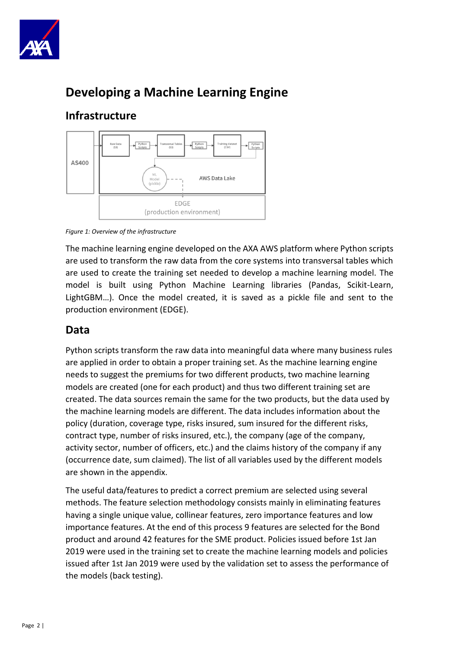

# **Developing a Machine Learning Engine**

### **Infrastructure**



*Figure 1: Overview of the infrastructure*

The machine learning engine developed on the AXA AWS platform where Python scripts are used to transform the raw data from the core systems into transversal tables which are used to create the training set needed to develop a machine learning model. The model is built using Python Machine Learning libraries (Pandas, Scikit-Learn, LightGBM…). Once the model created, it is saved as a pickle file and sent to the production environment (EDGE).

#### **Data**

Python scripts transform the raw data into meaningful data where many business rules are applied in order to obtain a proper training set. As the machine learning engine needs to suggest the premiums for two different products, two machine learning models are created (one for each product) and thus two different training set are created. The data sources remain the same for the two products, but the data used by the machine learning models are different. The data includes information about the policy (duration, coverage type, risks insured, sum insured for the different risks, contract type, number of risks insured, etc.), the company (age of the company, activity sector, number of officers, etc.) and the claims history of the company if any (occurrence date, sum claimed). The list of all variables used by the different models are shown in the appendix.

The useful data/features to predict a correct premium are selected using several methods. The feature selection methodology consists mainly in eliminating features having a single unique value, collinear features, zero importance features and low importance features. At the end of this process 9 features are selected for the Bond product and around 42 features for the SME product. Policies issued before 1st Jan 2019 were used in the training set to create the machine learning models and policies issued after 1st Jan 2019 were used by the validation set to assess the performance of the models (back testing).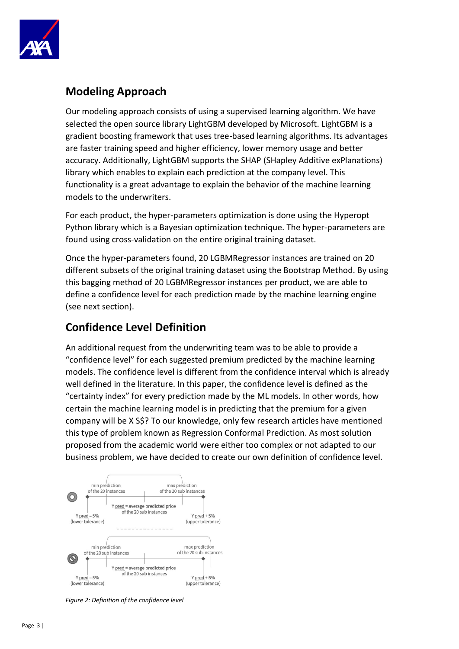

#### **Modeling Approach**

Our modeling approach consists of using a supervised learning algorithm. We have selected the open source library LightGBM developed by Microsoft. LightGBM is a gradient boosting framework that uses tree-based learning algorithms. Its advantages are faster training speed and higher efficiency, lower memory usage and better accuracy. Additionally, LightGBM supports the SHAP (SHapley Additive exPlanations) library which enables to explain each prediction at the company level. This functionality is a great advantage to explain the behavior of the machine learning models to the underwriters.

For each product, the hyper-parameters optimization is done using the Hyperopt Python library which is a Bayesian optimization technique. The hyper-parameters are found using cross-validation on the entire original training dataset.

Once the hyper-parameters found, 20 LGBMRegressor instances are trained on 20 different subsets of the original training dataset using the Bootstrap Method. By using this bagging method of 20 LGBMRegressor instances per product, we are able to define a confidence level for each prediction made by the machine learning engine (see next section).

#### **Confidence Level Definition**

An additional request from the underwriting team was to be able to provide a "confidence level" for each suggested premium predicted by the machine learning models. The confidence level is different from the confidence interval which is already well defined in the literature. In this paper, the confidence level is defined as the "certainty index" for every prediction made by the ML models. In other words, how certain the machine learning model is in predicting that the premium for a given company will be X S\$? To our knowledge, only few research articles have mentioned this type of problem known as Regression Conformal Prediction. As most solution proposed from the academic world were either too complex or not adapted to our business problem, we have decided to create our own definition of confidence level.



*Figure 2: Definition of the confidence level*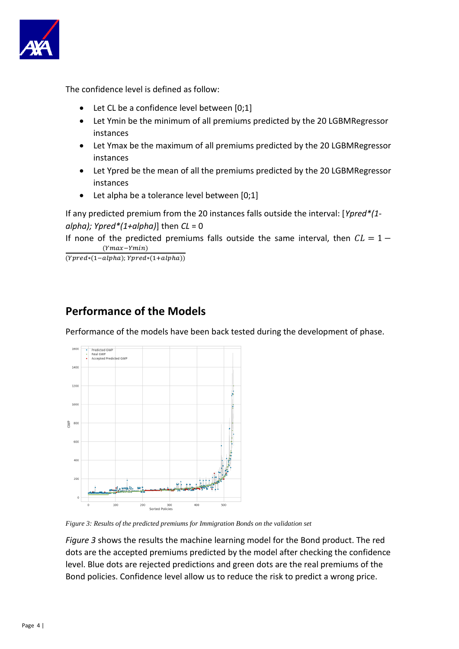

The confidence level is defined as follow:

- Let CL be a confidence level between [0;1]
- Let Ymin be the minimum of all premiums predicted by the 20 LGBMRegressor instances
- Let Ymax be the maximum of all premiums predicted by the 20 LGBMRegressor instances
- Let Ypred be the mean of all the premiums predicted by the 20 LGBMRegressor instances
- Let alpha be a tolerance level between [0;1]

If any predicted premium from the 20 instances falls outside the interval: [*Ypred\*(1 alpha); Ypred\*(1+alpha)*] then *CL* = 0

If none of the predicted premiums falls outside the same interval, then  $CL = 1 (Ymax-Ymin)$ 

 $\overline{(Ypred*(1-alpha); Ypred*(1+alpha))}$ 

#### **Performance of the Models**

Performance of the models have been back tested during the development of phase.



*Figure 3: Results of the predicted premiums for Immigration Bonds on the validation set*

*Figure 3* shows the results the machine learning model for the Bond product. The red dots are the accepted premiums predicted by the model after checking the confidence level. Blue dots are rejected predictions and green dots are the real premiums of the Bond policies. Confidence level allow us to reduce the risk to predict a wrong price.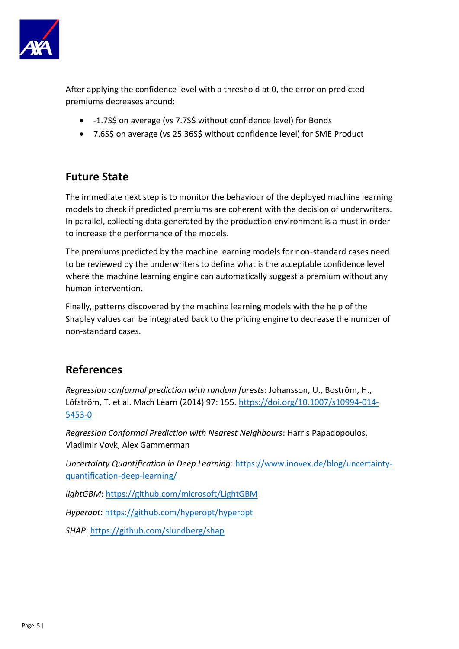

After applying the confidence level with a threshold at 0, the error on predicted premiums decreases around:

- -1.7S\$ on average (vs 7.7S\$ without confidence level) for Bonds
- 7.6S\$ on average (vs 25.36S\$ without confidence level) for SME Product

#### **Future State**

The immediate next step is to monitor the behaviour of the deployed machine learning models to check if predicted premiums are coherent with the decision of underwriters. In parallel, collecting data generated by the production environment is a must in order to increase the performance of the models.

The premiums predicted by the machine learning models for non-standard cases need to be reviewed by the underwriters to define what is the acceptable confidence level where the machine learning engine can automatically suggest a premium without any human intervention.

Finally, patterns discovered by the machine learning models with the help of the Shapley values can be integrated back to the pricing engine to decrease the number of non-standard cases.

#### **References**

*Regression conformal prediction with random forests*: Johansson, U., Boström, H., Löfström, T. et al. Mach Learn (2014) 97: 155. [https://doi.org/10.1007/s10994-014-](https://doi.org/10.1007/s10994-014-5453-0) [5453-0](https://doi.org/10.1007/s10994-014-5453-0)

*Regression Conformal Prediction with Nearest Neighbours*: Harris Papadopoulos, Vladimir Vovk, Alex Gammerman

*Uncertainty Quantification in Deep Learning*: [https://www.inovex.de/blog/uncertainty](https://www.inovex.de/blog/uncertainty-quantification-deep-learning/)[quantification-deep-learning/](https://www.inovex.de/blog/uncertainty-quantification-deep-learning/)

*lightGBM*: <https://github.com/microsoft/LightGBM>

*Hyperopt*:<https://github.com/hyperopt/hyperopt>

*SHAP*: <https://github.com/slundberg/shap>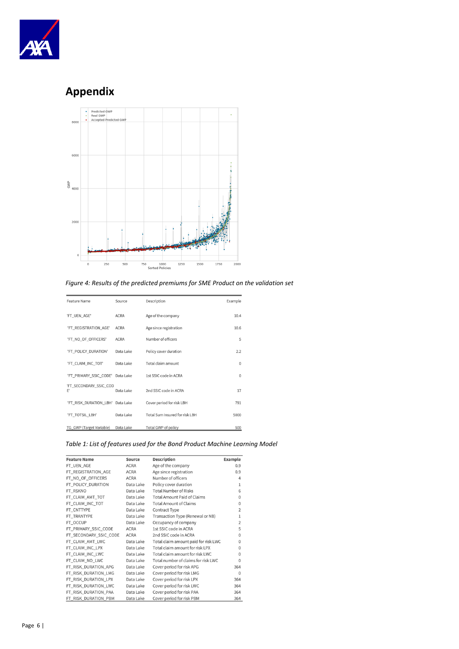

## **Appendix**



*Figure 4: Results of the predicted premiums for SME Product on the validation set*

| <b>Feature Name</b>          | Source      | Description                    | Example      |
|------------------------------|-------------|--------------------------------|--------------|
| 'FT_UEN_AGE'                 | <b>ACRA</b> | Age of the company             | 10.4         |
| 'FT REGISTRATION AGE'        | <b>ACRA</b> | Age since registration         | 10.6         |
| 'FT NO OF OFFICERS'          | <b>ACRA</b> | Number of officers             | 5            |
| 'FT_POLICY_DURATION'         | Data Lake   | Policy cover duration          | 2.2          |
| 'FT CLAIM INC TOT'           | Data Lake   | Total claim amount             | $\mathbf{0}$ |
| 'FT_PRIMARY_SSIC_CODE'       | Data Lake   | 1st SSIC code in ACRA          | $\theta$     |
| 'FT SECONDARY SSIC COD<br>E, | Data Lake   | 2nd SSIC code in ACRA          | 17           |
| 'FT_RISK_DURATION_LBH'       | Data Lake   | Cover period for risk LBH      | 791          |
| 'FT_TOTSIL_LBH'              | Data Lake   | Total Sum Insured for risk LBH | 5000         |
| TG_GWP (Target Variable)     | Data Lake   | Total GWP of policy            | 500          |

*Table 1: List of features used for the Bond Product Machine Learning Model*

| <b>Feature Name</b>    | Source      | <b>Description</b>                   | <b>Example</b> |
|------------------------|-------------|--------------------------------------|----------------|
| FT_UEN_AGE             | <b>ACRA</b> | Age of the company                   | 0.9            |
| FT_REGISTRATION_AGE    | <b>ACRA</b> | Age since registration               | 0.9            |
| FT_NO_OF_OFFICERS      | <b>ACRA</b> | Number of officers                   | 4              |
| FT_POLICY_DURATION     | Data Lake   | Policy cover duration                | 1              |
| FT RSKNO               | Data Lake   | <b>Total Number of Risks</b>         | 6              |
| FT_CLAIM_AMT_TOT       | Data Lake   | <b>Total Amount Paid of Claims</b>   | $\mathbf 0$    |
| FT_CLAIM_INC_TOT       | Data Lake   | <b>Total Amount of Claims</b>        | $\mathbf 0$    |
| FT_CNTTYPE             | Data Lake   | Contract Type                        | $\overline{2}$ |
| FT_TRANTYPE            | Data Lake   | Transaction Type (Renewal or NB)     | 1              |
| FT_OCCUP               | Data Lake   | Occupancy of company                 | $\overline{2}$ |
| FT_PRIMARY_SSIC_CODE   | <b>ACRA</b> | 1st SSIC code in ACRA                | 5              |
| FT_SECONDARY_SSIC_CODE | <b>ACRA</b> | 2nd SSIC code in ACRA                | $\Omega$       |
| FT_CLAIM_AMT_LWC       | Data Lake   | Total claim amount paid for risk LWC | $\Omega$       |
| FT_CLAIM_INC_LPX       | Data Lake   | Total claim amount for risk LPX      | $\Omega$       |
| FT_CLAIM_INC_LWC       | Data Lake   | Total claim amount for risk LWC      | 0              |
| FT_CLAIM_NO_LWC        | Data Lake   | Total number of claims for risk LWC  | $\Omega$       |
| FT_RISK_DURATION_APG   | Data Lake   | Cover period for risk APG            | 364            |
| FT_RISK_DURATION_LMG   | Data Lake   | Cover period for risk LMG            | $\theta$       |
| FT_RISK_DURATION_LPX   | Data Lake   | Cover period for risk LPX            | 364            |
| FT_RISK_DURATION_LWC   | Data Lake   | Cover period for risk LWC            | 364            |
| FT_RISK_DURATION_PAA   | Data Lake   | Cover period for risk PAA            | 364            |
| FT_RISK_DURATION_PBM   | Data Lake   | Cover period for risk PBM            | 364            |